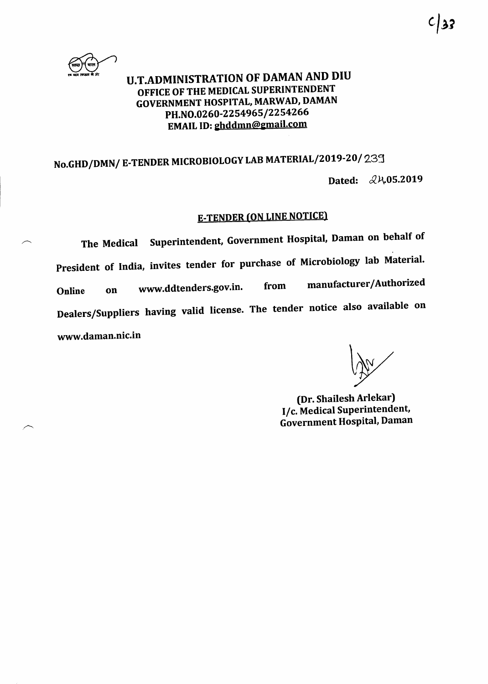

## U.T.ADM INISTRATION OF DAMAN AND DIU OFFICE OF THE MEDICAL SUPERINTENDENT GOVERNMENT HOSPITAL, MARWAD, DAMAN PH.NO.0260-2254965/2254266 EMAIL ID: ghddmn@gmail.com

## No.GHD/DMN/ E-TENDER MICROBIOLOGY LAB MATERIAL/2019-20/231 Dated:  $\&\mathcal{V}\sim 05.2019$

## **E-TENDER (ON LINE NOTICE)**

The Medical Superintendent, Government Hospital, Daman on behalf of President of India, invites tender for purchase of Microbiology lab Material. Online on www.ddtenders.gov.in. from manufacturer/Authorized Dealers/Suppliers having valid license. The tender notice also available on www.daman.nic.in

(Dr. Shailesh Arlekar) I/c. Medical Superintendent, Government Hospital, Daman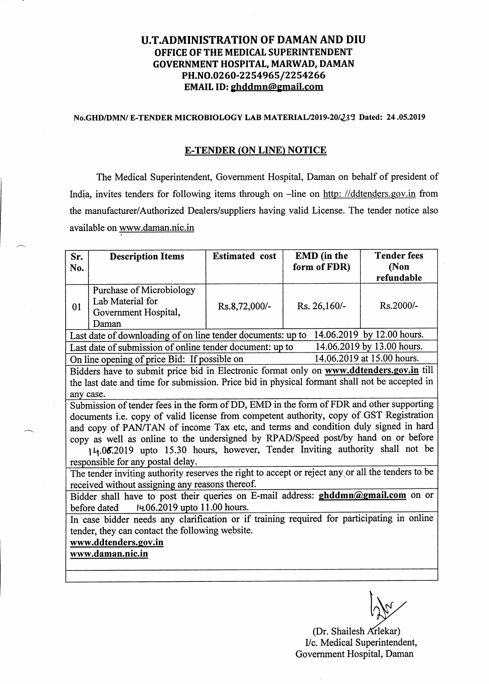## U.T.ADMINISTRATION OF DAMAN AND DIU OFFICE OF THE MEDICAL SUPERINTENDENT GOVERNMENT HOSPITAL, MARWAD, DAMAN PH.NO.0260-2254965/2254266 EMAIL ID: ghddmn@gmail.com

#### No.GHD/DMN/ E-TENDER MICROBIOLOGY LAB MATERIAL/2019-20/239 Dated: 24.05.2019

#### **E-TENDER (ON LINE) NOTICE**

The Medical Superintendent, Government Hospital, Daman on behalf of president of India, invites tenders for following items through on -line on http: //ddtenders.gov.in from the manufacturer/Authorized Dealers/suppliers having valid License. The tender notice also available on www.daman.nic.in

| Sr.                                                                                                                                    | <b>Description Items</b>        | <b>Estimated</b> cost | <b>EMD</b> (in the | <b>Tender fees</b> |  |
|----------------------------------------------------------------------------------------------------------------------------------------|---------------------------------|-----------------------|--------------------|--------------------|--|
| No.                                                                                                                                    |                                 |                       | form of FDR)       | (Non               |  |
|                                                                                                                                        | <b>Purchase of Microbiology</b> |                       |                    | refundable         |  |
| 01                                                                                                                                     | Lab Material for                |                       | Rs. 26,160/-       |                    |  |
|                                                                                                                                        | Government Hospital,            | Rs.8,72,000/-         |                    | Rs.2000/-          |  |
|                                                                                                                                        | Daman                           |                       |                    |                    |  |
| 14.06.2019 by 12.00 hours.<br>Last date of downloading of on line tender documents: up to                                              |                                 |                       |                    |                    |  |
| 14.06.2019 by 13.00 hours.<br>Last date of submission of online tender document: up to                                                 |                                 |                       |                    |                    |  |
| 14.06.2019 at 15.00 hours.<br>On line opening of price Bid: If possible on                                                             |                                 |                       |                    |                    |  |
| Bidders have to submit price bid in Electronic format only on www.ddtenders.gov.in till                                                |                                 |                       |                    |                    |  |
| the last date and time for submission. Price bid in physical formant shall not be accepted in                                          |                                 |                       |                    |                    |  |
| any case.                                                                                                                              |                                 |                       |                    |                    |  |
| Submission of tender fees in the form of DD, EMD in the form of FDR and other supporting                                               |                                 |                       |                    |                    |  |
| documents i.e. copy of valid license from competent authority, copy of GST Registration                                                |                                 |                       |                    |                    |  |
| and copy of PAN/TAN of income Tax etc, and terms and condition duly signed in hard                                                     |                                 |                       |                    |                    |  |
| copy as well as online to the undersigned by RPAD/Speed post/by hand on or before                                                      |                                 |                       |                    |                    |  |
| 14.06.2019 upto 15.30 hours, however, Tender Inviting authority shall not be                                                           |                                 |                       |                    |                    |  |
| responsible for any postal delay.<br>The tender inviting authority reserves the right to accept or reject any or all the tenders to be |                                 |                       |                    |                    |  |
| received without assigning any reasons thereof.                                                                                        |                                 |                       |                    |                    |  |
| Bidder shall have to post their queries on E-mail address: ghddmn@gmail.com on or                                                      |                                 |                       |                    |                    |  |
| 14.06.2019 upto 11.00 hours.<br>before dated                                                                                           |                                 |                       |                    |                    |  |
| In case bidder needs any clarification or if training required for participating in online                                             |                                 |                       |                    |                    |  |
| tender, they can contact the following website.                                                                                        |                                 |                       |                    |                    |  |
| www.ddtenders.gov.in                                                                                                                   |                                 |                       |                    |                    |  |
| www.daman.nic.in                                                                                                                       |                                 |                       |                    |                    |  |
|                                                                                                                                        |                                 |                       |                    |                    |  |
|                                                                                                                                        |                                 |                       |                    |                    |  |

IM

(Dr. Shailesh Arlekar) I/c. Medical Superintendent, Govemment Hospital, Daman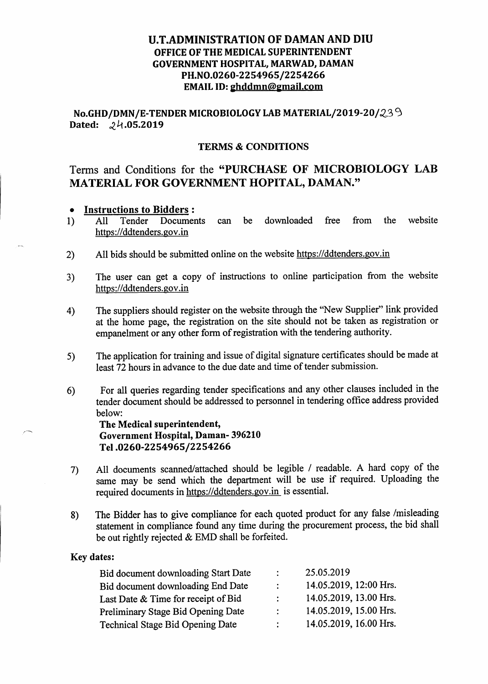## U.T.ADMINISTRATION OF DAMAN AND DIU OFFICE OF THE MEDICAL SUPERINTENDENT GOVERNMENT HOSPITAL, MARWAD, DAMAN PH.NO.0260-2254965/2254266 EMAIL ID: ghddmn@gmail.com

No.GHD/DMN/E-TENDER MICROBIOLOGY LAB MATERIAL/2019-20/239 Dated:  $24.05.2019$ 

## TERMS & CONDITIONS

## Terms and Conditions for the "PURCHASE OF MICROBIOLOGY LAB MATERIAL FOR GOVERNMENT HOPITAL, DAMAN.'

# **Instructions to Bidders :**<br>All Tender Documents

- 1) All Tender Documents can be downloaded free from the website https://ddtenders.gov.in
- 2) All bids should be submitted online on the website https://ddtenders.gov.in
- 3) The user can get a copy of instructions to online participation from the website https://ddtenders.gov.in
- 4) The suppliers should register on the website through the 'New Supplier" link provided at the home page, the registation on the site should not be taken as registration or empanelment or any other form of registration with the tendering authority.
- The application for training and issue of digital signature certificates should be made at least 72 hours in advance to the due date and time of tender submission. s)
- 6) For all queries regarding tender specilications and any other clauses included in the tender document should be addressed to personnel in tendering oflice address provided below:

The Medical superintendent, Government Hospital, Daman- 396210 <sup>T</sup>el .OZ 6O -225 49 65 / 225 42 66

- All documents scanned/attached should be legible / readable. A hard copy of the same may be send which the department will be use if required. Uploading the required documents in https://ddtenders.gov.in is essential. 7)
- 8) The Bidder has to give compliance for each quoted product for any false /misleading statement in compliance found any time during the procurement process, the bid shall be out rightly rejected & EMD shall be forfeited.

#### Key dates:

| $\ddot{\cdot}$ | 25.05.2019             |
|----------------|------------------------|
| $\mathcal{L}$  | 14.05.2019, 12:00 Hrs. |
| $\mathcal{L}$  | 14.05.2019, 13.00 Hrs. |
| $\mathcal{L}$  | 14.05.2019, 15.00 Hrs. |
| $\mathcal{L}$  | 14.05.2019, 16.00 Hrs. |
|                |                        |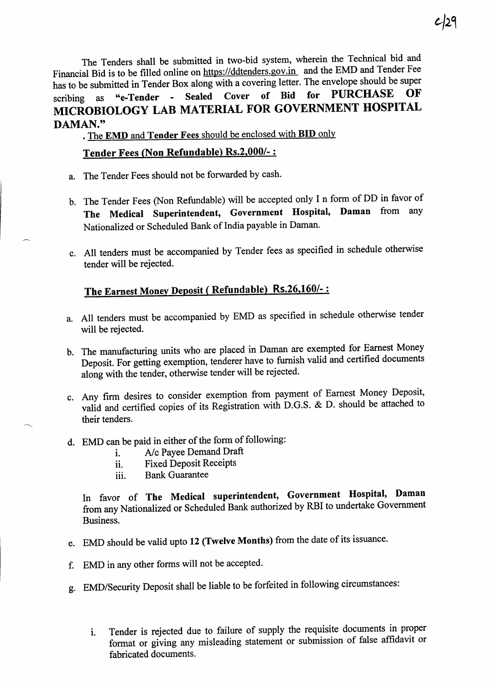The Tenders shall be submitted in two-bid system, wherein the Technical bid and Financial Bid is to be filled online on https://ddtenders.gov.in and the EMD and Tender Fee has to be submitted in Tender Box along with a covering letter. The envelope should be super<br>scribing as "e-Tender - Sealed Cover of Bid for PURCHASE OF scribing as "e-Tender - Sealed Cover of Bid for PURCHASE OF MICROBIOLOGY LAB MATERIAL FOR GOVERNMENT HOSPITA DAMAN."

. The EMD and Tender Fees should be enclosed with BID only

## Tender Fees (Non Refundable) Rs.2.000/- :

- a. The Tender Fees should not be forwarded by cash.
- b. The Tender Fees (Non Refundable) will be accepted only I n form of DD in favor of The Medical Superintendent, Government Hospital, Daman from any Nationalized or Scheduled Bank of India payable in Daman.
- c. All tenders must be accompanied by Tender fees as specified in schedule otherwise tender will be rejected.

## The Earnest Money Deposit ( Refundable) Rs.26,160/-:

- a. All tenders must be accompanied by EMD as specified in schedule otherwise tender will be rejected.
- b. The manufacturing units who are placed in Daman are exempted for Earnest Money Deposit. For getting exemption, tenderer have to furnish valid and certified documents along with the tender, otherwise tender will be rejected.
- c. Any firm desires to consider exemption from payment of Earnest Money Deposit, valid and certified copies of its Registration with D.G.S. & D. should be attached to their tenders.
- d. EMD can be paid in either of the form of following:<br>i.  $A/c$  Payee Demand Draft
	- i. A/c Payee Demand Draft<br>ii. Fixed Deposit Receipts
	- Fixed Deposit Receipts
	- iii. Bank Guarantee

In favor of The Medical superintendent, Government Hospital, Daman from any Nationalized or Scheduled Bank authorized by RBI to undertake Government Business.

- e. EMD should be valid upto 12 (Twelve Months) from the date of its issuance.
- f. EMD in any other forms will not be accepted.
- g. EMD/Security Deposit shall be liable to be forfeited in following circumstances:
	- Tender is rejected due to failure of supply the requisite documents in proper format or giving any misleading statement or submission of false affidavit or fabricated documents. l.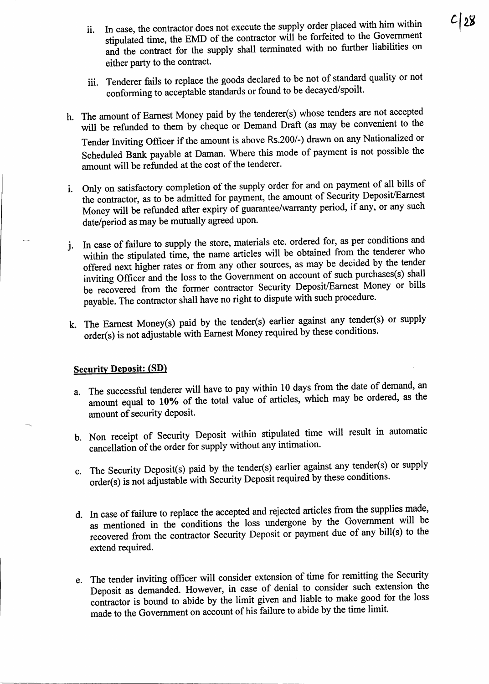- ii. In case, the contractor does not execute the supply order placed with him within stipulated time, the EMD of the contractor will be forfeited to the Government and the contract for the supply shall terminated with no further liabilities on either party to the contract.
- iii. Tenderer fails to replace the goods declared to be not of standard quality or not conforming to acceptable standards or found to be decayed/spoilt.
- h. The amount of Eamest Money paid by the tenderer(s) whose tenders are not accepted will be refunded to them by cheque or Demand Draft (as may be convenient to the Tender lnviting ofticer if the amount is above Rs.200/-) drawn on any Nationalized or Scheduled Bank payable at Daman. where this mode of payment is not possible the amount will be refunded at the cost of the tenderer.
- i. Only on satisfactory completion of the supply order for and on payment of all only of the contractor, as to be admitted for payment, the amount of Security Deposit/Earnest Money will be refunded after expiry of guarantee/warranty period, if any, or any such date/period as may be mutually agreed upon.
- i. In case of failure to supply the store, materials etc. ordered for, as per conditions and within the stipulated time, the name articles will be obtained from the tenderer who offered next higher rates or from any other sources, as may be decided by the tender inviting Officer and the loss to the Government on account of such purchases(s) shall be recovered from the former contractor Security Deposit/Earnest Money or bills payable. The contractor shall have no right to dispute with such procedure.
- k. The Earnest Money(s) paid by the tender(s) earlier against any tender(s) or supply<br>order(s) is not adjustable with Earnest Money required by these conditions. order(s) is not adjustable with Earnest Money required by these conditions.

## **Security Deposit: (SD)**

**the set of the set of the set of the set of the set of the set of the set of the set of the set of the set of** 

- a. The successful tenderer will have to pay within 10 days from the date of demand, an amount equal to 10% of the total value of articles, which may be ordered, as the amount of security deposit.
- b. Non receipt of Security Deposit within stipulated time will result in automatic cancellation of the order for supply without any intimation.
- c. The Security Deposit(s) paid by the tender(s) earlier against any tender(s) or supply<br>order(s) is not adjustable with Security Deposit required by these conditions. is not adjustable with Security Deposit required by these conditions.
- d. In case of failure to replace the accepted and rejected articles from the supplies made, as mentioned in the conditions the loss undergone by the Government will be recovered from the contractor Security Deposit or payment due of any bill(s) to the extend required.
- e. The tender inviting officer will consider extension of time for remitting the Security Deposit as demanded. However, in case of denial to consider such extension the contractor is bound to abide by the limit given and have to have good<br>made to the Government on account of his failure to abide by the time lin contractor is bound to abide by the limit given and liable to make good for the loss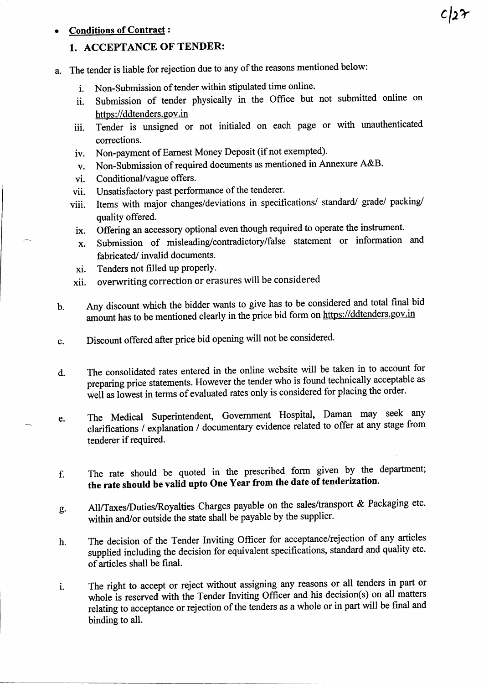#### - **Conditions of Contract:**

## 1. ACCEPTANCE OF TENDER:

- a. The tender is liable for rejection due to any of the reasons mentioned below:
	- i. Non-Submission of tender within stipulated time online.
	- Submission of tender physically in the Office but not submitted online on https://ddtenders.gov.in 11.
	- Tender is unsigned or not initialed on each page or with unauthenticated corrections. iii.
	- Non-payment of Eamest Money Deposit (if not exempted). iv.
	- Non-Submission of required documents as mentioned in Annexure A&B'  $V<sub>r</sub>$
	- Conditional/vague offers. vl.
	- vii. Unsatisfactory past performance of the tenderer.
	- viii. Items with major changes/deviations in specifications/ standard/ grade/ packing/ quality offered.
	- lx. Offering an accessory optional even though required to operate the instrument.
	- x. Submission of misleading/contradictory/false statement or information and fabricated/ invalid documents.
	- xi. Tenders not filled up properly.
	- xii. overwriting correction or erasures will be considered
- Any discount which the bidder wants to give has to be considered and total final bid amount has to be mentioned clearly in the price bid form on https://ddtenders.gov.in b.
- Discount offered after price bid opening will not be considered' c.
- d. The consolidated rates entered in the online website will be taken in to account for preparing price statements. However the tender who is found technically acceptable as well as lowest in terms of evaluated rates only is considered for placing the order.
- e. The Medical Superintendent, Government Hospital, Daman may seek any clarifications / explanation / documentary evidence related to offer at any stage from tenderer if required.
- The rate should be quoted in the prescribed form given by the department; the rate should be valid upto One Year from the date of tenderization. f.
- All/Taxes/Duties/Royalties charges payable on the sales/transport & Packaging etc. within and/or outside the state shall be payable by the supplier. e.
- The decision of the Tender Inviting Officer for acceptance/rejection of any articles supplied including the decision for equivalent specifications, standard and quality etc. ofarticles shall be final. h.
- The right to accept or reject without assigning any reasons or all tenders in part or whole is reserved with the Tender Inviting Officer and his decision(s) on all matters relating to acceptance or rejection of the tenders as a whole or in part will be final and binding to all. l.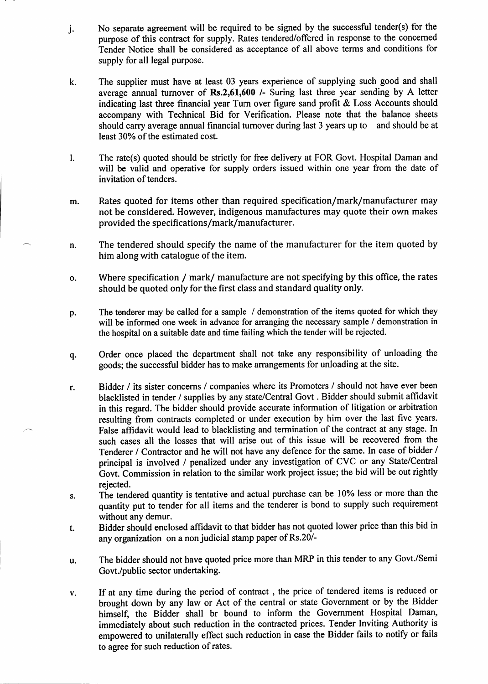- j. No separate agreement will be required to be signed by the successful tender(s) for the purpose of this contract for supply. Rates tendered/offered in response to the concemed Tender Notice shall be considered as acceptance of all above terms and conditions for supply for all legal purpose.
- k The supplier must have at least 03 years experience of supplying such good and shall average annual tumover of Rs.2,61,600 /- Suring last three year sending by A letter indicating last three financial year Tum over figure sand profit & Loss Accounts should accompany with Technical Bid for Verification. Please note that the balance sheets should carry average annual financial turnover during last 3 years up to and should be at least 30% of the estimated cost.
- The rate(s) quoted should be strictly for free delivery at FOR Gow. Hospital Daman and will be valid and operative for supply orders issued within one year from the date of invitation of tenders. l.
- m. Rates quoted for items other than required specification/mark/manufacturer may not be considered. However, indigenous manufactures may quote their own makes provided the specifications/mark/manufacturer.
- n The tendered should specify the name of the manufacturer for the item quoted by him along with catalogue of the item.
- o Where specification / mark/ manufacture are not specifying by this office, the rates should be quoted only for the first class and standard quality only.
- p. The tenderer may be called for a sample / demonstration of the items quoted for which they will be informed one week in advance for arranging the necessary sample / demonstration in the hospital on a suitable date and time failing which the tender will be rejected.
- q Order once placed the department shall not take any responsibility of unloading the goods; the successful bidder has to make arrangements for unloading at the site.
- r Bidder / its sister concerns / companies where its Promoters / should not have ever been blacklisted in tender / supplies by any state/Central Govt . Bidder should submit affrdavit in this regard. The bidder should provide accurate information of litigation or arbitration resulting from contracts completed or under execution by him over the last five years. False affidavit would lead to blacklisting and termination of the contract at any stage. In such cases all the losses that will arise out of this issue will be recovered from the Tenderer / Contractor and he will not have any defence for the same. In case of bidder / principal is involved / penalized under any investigation of CVC or any State/Central Govt. Commission in relation to the similar work project issue; the bid will be out rightly rejected.
- s. The tendered quantity is tentative and actual purchase can be 10% less or more than the quantity put to tender for all items and the tenderer is bond to supply such requirement without any demur.
- t. Bidder should enclosed affidavit to that bidder has not quoted lower price than this bid in any organization on a non judicial stamp paper of Rs.20/-
- u The bidder should not have quoted price more than MRP in this tender to any Govt./Semi Govt./public sector undertaking.
- If at any time during the period of conract , the price of tendered items is reduced or V. brought down by any law or Act of the central or state Government or by the Bidder himself, the Bidder shall br bound to inform the Govemment Hospital Daman, immediately about such reduction in the contracted prices. Tender Inviting Authority is empowered to unilaterally effect such reduction in case the Bidder fails to notify or fails to agree for such reduction of rates.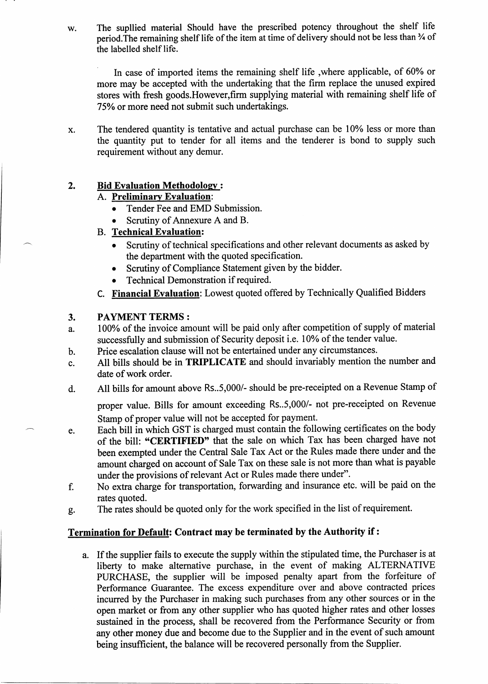w. The supllied material Should have the prescribed potency throughout the shelf life period. The remaining shelf life of the item at time of delivery should not be less than  $\frac{3}{4}$  of the labelled shelf life.

In case of imported items the remaining shelf life, where applicable, of 60% or more may be accepted with the undertaking that the firm replace the unused expired stores with fresh goods.However,firm supplying material with remaining shelf life of 75Yo or more need not submit such undertakings.

x. The tendered quantity is tentative and actual purchase can be 10% less or more than the quantity put to tender for all items and the tenderer is bond to supply such requirement without any demur.

## 2. Bid Evaluation Methodology:

## A. Preliminarv Evaluation:

- Tender Fee and EMD Submission.
- Scrutiny of Annexure A and B.

## **B.** Technical Evaluation:

- Scrutiny of technical specifications and other relevant documents as asked by the departnent with the quoted specification.
- o Scrutiny of Compliance Statement given by the bidder.
- . Technical Demonstration if required.
- C. Financial Evaluation: Lowest quoted offered by Technically Qualified Bidders

## 3. PAYMENT TERMS :

- a. l0O% of the invoice amount will be paid only after competition of supply of material successfully and submission of Security deposit i.e. 10% of the tender value.
- b. Price escalation clause will not be entertained under any circumstances.
- c. All bills should be in TRIPLICATE and should invariably mention the number and date of work order.
- d. All bills for amount above Rs..5,000/- should be pre-receipted on a Revenue Stamp of

proper value. Bills for amount exceeding Rs..5,000/- not pre-receipted on Revenue Stamp of proper value will not be accepted for payment.

- e. Each bill in which GST is charged must contain the following certificates on the body of the bill: "CERTIFIED" that the sale on which Tax has been charged have not been exempted under the Central Sale Tax Act or the Rules made there under and the amount charged on account of Sale Tar on these sale is not more than what is payable under the provisions of relevant Act or Rules made there under".
- f. No extra charge for transportation, forwarding and insurance etc. will be paid on the rates quoted.
- g. The rates should be quoted only for the work specified in the list of requirement.

## Termination for Default: Contract may be terminated by the Authority if :

a. If the supplier fails to execute the supply within the stipulated time, the Purchaser is at liberty to make alternative purchase, in the event of making ALTERNATIVE PURCHASE, the supplier will be imposed penalty apart from the forfeiture of Performance Guarantee. The excess expenditure over and above contracted prices incurred by the Purchaser in making such purchases from any other sources or in the open market or from any other supplier who has quoted higher rates and other losses sustained in the process, shall be recovered from the Performance Security or from any other money due and become due to the Supplier and in the event of such amount being insufficient, the balance will be recovered personally from the Supplier.